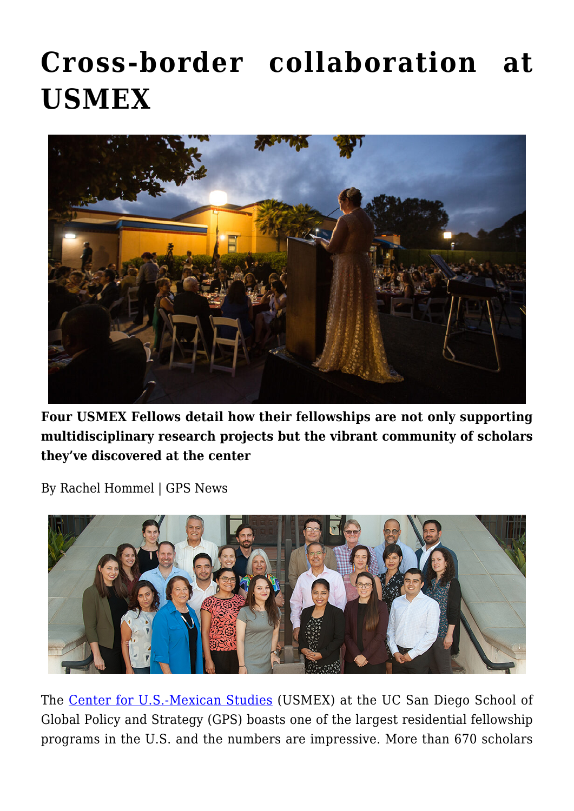# **[Cross-border collaboration at](https://gpsnews.ucsd.edu/cross-border-collaboration-at-usmex/) [USMEX](https://gpsnews.ucsd.edu/cross-border-collaboration-at-usmex/)**



**Four USMEX Fellows detail how their fellowships are not only supporting multidisciplinary research projects but the vibrant community of scholars they've discovered at the center**

By Rachel Hommel | GPS News



The [Center for U.S.-Mexican Studies](http://usmex.ucsd.edu/) (USMEX) at the UC San Diego School of Global Policy and Strategy (GPS) boasts one of the largest residential fellowship programs in the U.S. and the numbers are impressive. More than 670 scholars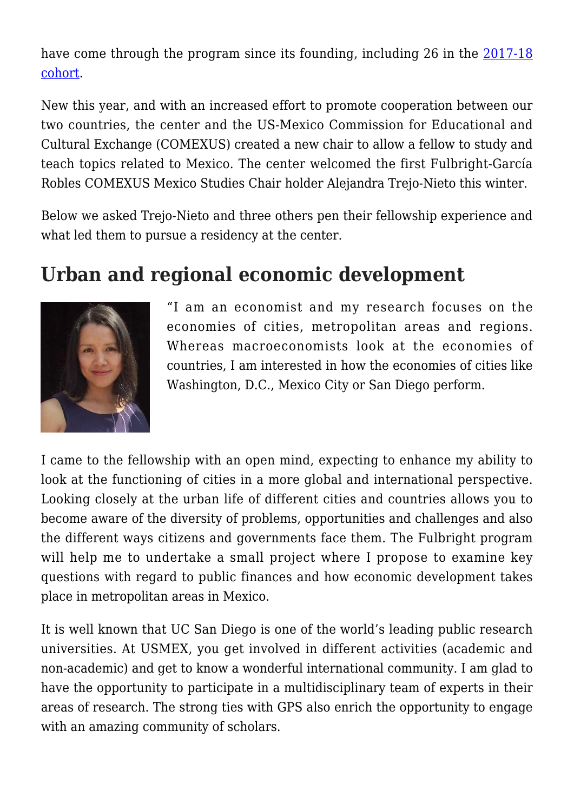have come through the program since its founding, including 26 in the [2017-18](http://usmex.ucsd.edu/fellows/index.html) [cohort](http://usmex.ucsd.edu/fellows/index.html).

New this year, and with an increased effort to promote cooperation between our two countries, the center and the US-Mexico Commission for Educational and Cultural Exchange (COMEXUS) created a new chair to allow a fellow to study and teach topics related to Mexico. The center welcomed the first Fulbright-García Robles COMEXUS Mexico Studies Chair holder Alejandra Trejo-Nieto this winter.

Below we asked Trejo-Nieto and three others pen their fellowship experience and what led them to pursue a residency at the center.

#### **Urban and regional economic development**



"I am an economist and my research focuses on the economies of cities, metropolitan areas and regions. Whereas macroeconomists look at the economies of countries, I am interested in how the economies of cities like Washington, D.C., Mexico City or San Diego perform.

I came to the fellowship with an open mind, expecting to enhance my ability to look at the functioning of cities in a more global and international perspective. Looking closely at the urban life of different cities and countries allows you to become aware of the diversity of problems, opportunities and challenges and also the different ways citizens and governments face them. The Fulbright program will help me to undertake a small project where I propose to examine key questions with regard to public finances and how economic development takes place in metropolitan areas in Mexico.

It is well known that UC San Diego is one of the world's leading public research universities. At USMEX, you get involved in different activities (academic and non-academic) and get to know a wonderful international community. I am glad to have the opportunity to participate in a multidisciplinary team of experts in their areas of research. The strong ties with GPS also enrich the opportunity to engage with an amazing community of scholars.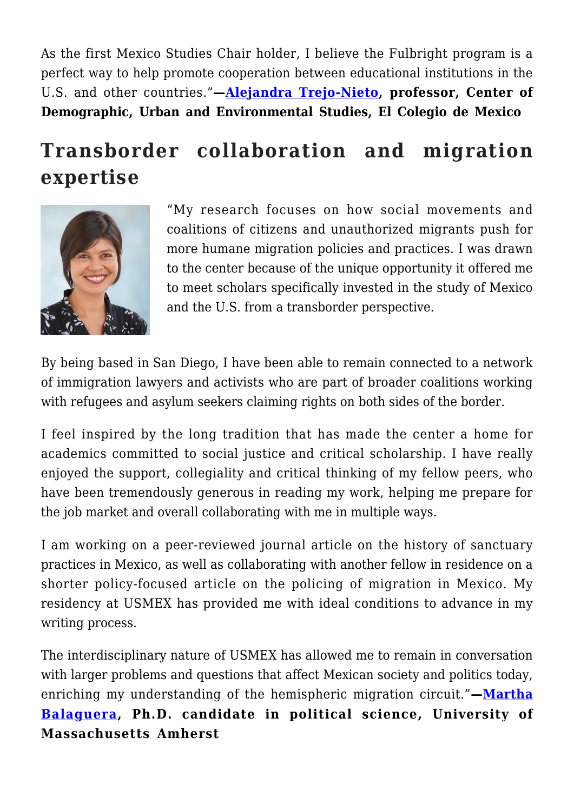As the first Mexico Studies Chair holder, I believe the Fulbright program is a perfect way to help promote cooperation between educational institutions in the U.S. and other countries."**—[Alejandra Trejo-Nieto,](http://usmex.ucsd.edu/fellows/trejo-nieto.html) professor, Center of Demographic, Urban and Environmental Studies, El Colegio de Mexico**

## **Transborder collaboration and migration expertise**



"My research focuses on how social movements and coalitions of citizens and unauthorized migrants push for more humane migration policies and practices. I was drawn to the center because of the unique opportunity it offered me to meet scholars specifically invested in the study of Mexico and the U.S. from a transborder perspective.

By being based in San Diego, I have been able to remain connected to a network of immigration lawyers and activists who are part of broader coalitions working with refugees and asylum seekers claiming rights on both sides of the border.

I feel inspired by the long tradition that has made the center a home for academics committed to social justice and critical scholarship. I have really enjoyed the support, collegiality and critical thinking of my fellow peers, who have been tremendously generous in reading my work, helping me prepare for the job market and overall collaborating with me in multiple ways.

I am working on a peer-reviewed journal article on the history of sanctuary practices in Mexico, as well as collaborating with another fellow in residence on a shorter policy-focused article on the policing of migration in Mexico. My residency at USMEX has provided me with ideal conditions to advance in my writing process.

The interdisciplinary nature of USMEX has allowed me to remain in conversation with larger problems and questions that affect Mexican society and politics today, enriching my understanding of the hemispheric migration circuit."**—[Martha](http://usmex.ucsd.edu/fellows/balaguera.html) [Balaguera](http://usmex.ucsd.edu/fellows/balaguera.html), Ph.D. candidate in political science, University of Massachusetts Amherst**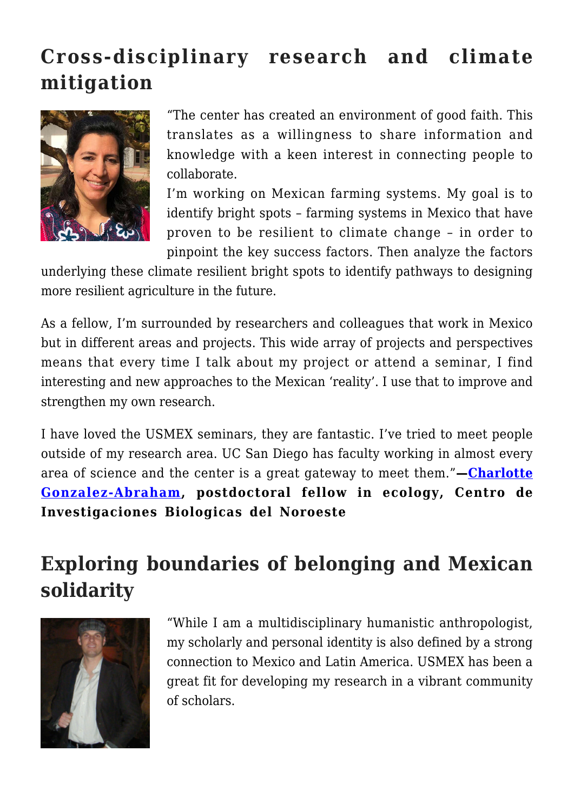## **Cross-disciplinary research and climate mitigation**



"The center has created an environment of good faith. This translates as a willingness to share information and knowledge with a keen interest in connecting people to collaborate.

I'm working on Mexican farming systems. My goal is to identify bright spots – farming systems in Mexico that have proven to be resilient to climate change – in order to pinpoint the key success factors. Then analyze the factors

underlying these climate resilient bright spots to identify pathways to designing more resilient agriculture in the future.

As a fellow, I'm surrounded by researchers and colleagues that work in Mexico but in different areas and projects. This wide array of projects and perspectives means that every time I talk about my project or attend a seminar, I find interesting and new approaches to the Mexican 'reality'. I use that to improve and strengthen my own research.

I have loved the USMEX seminars, they are fantastic. I've tried to meet people outside of my research area. UC San Diego has faculty working in almost every area of science and the center is a great gateway to meet them."**—[Charlotte](http://usmex.ucsd.edu/fellows/gonzalez-abraham.html) [Gonzalez-Abraham](http://usmex.ucsd.edu/fellows/gonzalez-abraham.html), postdoctoral fellow in ecology, Centro de Investigaciones Biologicas del Noroeste**

#### **Exploring boundaries of belonging and Mexican solidarity**



"While I am a multidisciplinary humanistic anthropologist, my scholarly and personal identity is also defined by a strong connection to Mexico and Latin America. USMEX has been a great fit for developing my research in a vibrant community of scholars.